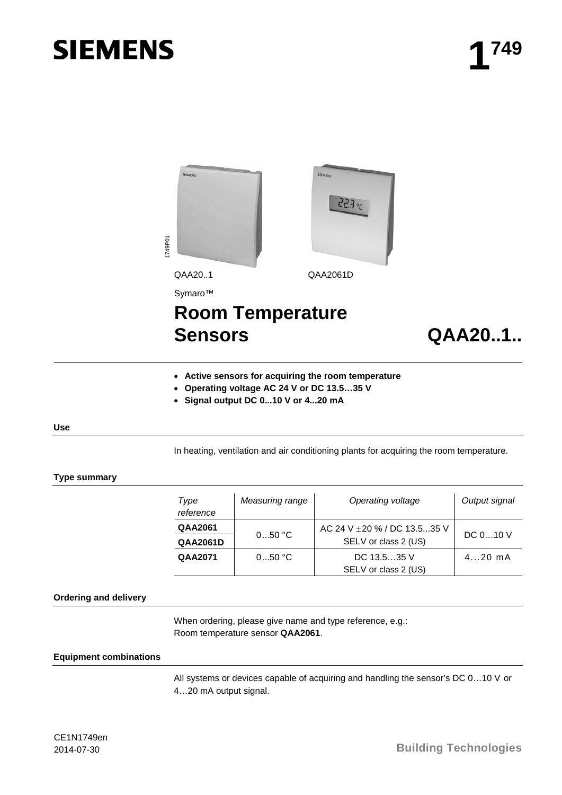# **SIEMENS**



```
Sensors QAA20..1..
```
# • **Active sensors for acquiring the room temperature**

- **Operating voltage AC 24 V or DC 13.5…35 V**
- **Signal output DC 0...10 V or 4...20 mA**

#### **Use**

In heating, ventilation and air conditioning plants for acquiring the room temperature.

#### **Type summary**

| Type<br>reference | Measuring range | Operating voltage            | Output signal |
|-------------------|-----------------|------------------------------|---------------|
| <b>QAA2061</b>    | $050$ °C        | AC 24 V ± 20 % / DC 13.535 V | DC 010 V      |
| <b>QAA2061D</b>   |                 | SELV or class 2 (US)         |               |
| QAA2071           | 050 °C          | DC $13.535$ V                | $420$ mA      |
|                   |                 | SELV or class 2 (US)         |               |

#### **Ordering and delivery**

When ordering, please give name and type reference, e.g.: Room temperature sensor **QAA2061**.

#### **Equipment combinations**

All systems or devices capable of acquiring and handling the sensor's DC 0…10 V or 4…20 mA output signal.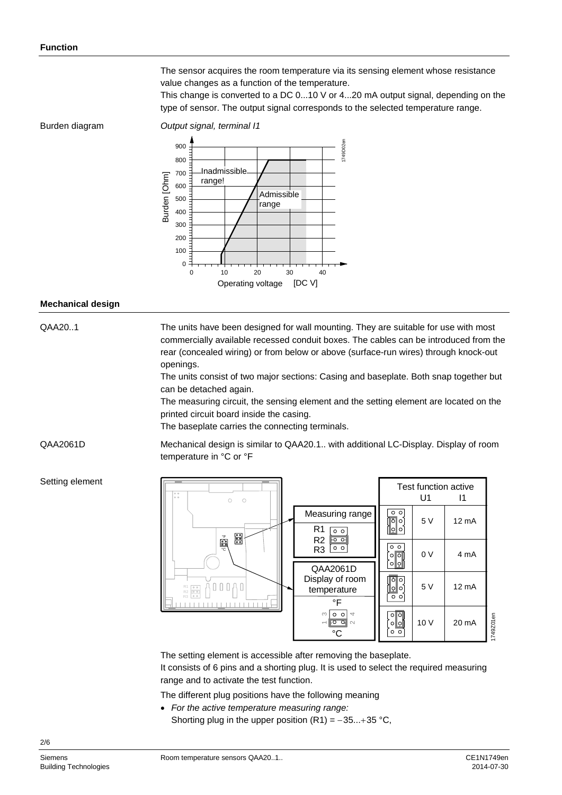The sensor acquires the room temperature via its sensing element whose resistance value changes as a function of the temperature.

This change is converted to a DC 0...10 V or 4...20 mA output signal, depending on the type of sensor. The output signal corresponds to the selected temperature range.

Burden diagram

*Output signal, terminal I1*



#### **Mechanical design**

QAA20..1

The units have been designed for wall mounting. They are suitable for use with most commercially available recessed conduit boxes. The cables can be introduced from the rear (concealed wiring) or from below or above (surface-run wires) through knock-out openings.

The units consist of two major sections: Casing and baseplate. Both snap together but can be detached again.

The measuring circuit, the sensing element and the setting element are located on the printed circuit board inside the casing.

The baseplate carries the connecting terminals.

QAA2061D

Mechanical design is similar to QAA20.1.. with additional LC-Display. Display of room temperature in °C or °F

#### Setting element



The setting element is accessible after removing the baseplate. It consists of 6 pins and a shorting plug. It is used to select the required measuring range and to activate the test function.

The different plug positions have the following meaning

- *For the active temperature measuring range:*
	- Shorting plug in the upper position  $(R1) = -35...+35$  °C,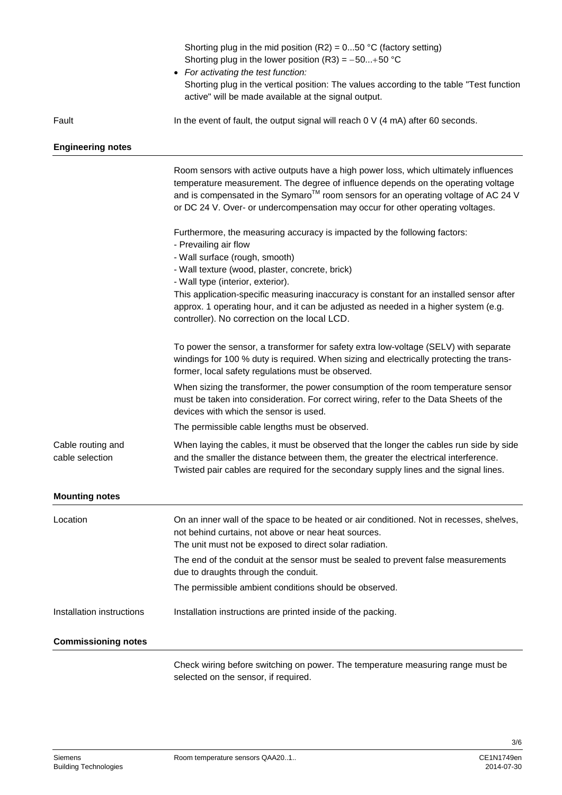|                                      | Shorting plug in the mid position (R2) = $050$ °C (factory setting)<br>Shorting plug in the lower position (R3) = $-50+50$ °C<br>• For activating the test function:<br>Shorting plug in the vertical position: The values according to the table "Test function<br>active" will be made available at the signal output.                          |
|--------------------------------------|---------------------------------------------------------------------------------------------------------------------------------------------------------------------------------------------------------------------------------------------------------------------------------------------------------------------------------------------------|
| Fault                                | In the event of fault, the output signal will reach $0 \vee (4 \text{ mA})$ after 60 seconds.                                                                                                                                                                                                                                                     |
| <b>Engineering notes</b>             |                                                                                                                                                                                                                                                                                                                                                   |
|                                      | Room sensors with active outputs have a high power loss, which ultimately influences<br>temperature measurement. The degree of influence depends on the operating voltage<br>and is compensated in the Symaro™ room sensors for an operating voltage of AC 24 V<br>or DC 24 V. Over- or undercompensation may occur for other operating voltages. |
|                                      | Furthermore, the measuring accuracy is impacted by the following factors:<br>- Prevailing air flow<br>- Wall surface (rough, smooth)<br>- Wall texture (wood, plaster, concrete, brick)                                                                                                                                                           |
|                                      | - Wall type (interior, exterior).<br>This application-specific measuring inaccuracy is constant for an installed sensor after<br>approx. 1 operating hour, and it can be adjusted as needed in a higher system (e.g.<br>controller). No correction on the local LCD.                                                                              |
|                                      | To power the sensor, a transformer for safety extra low-voltage (SELV) with separate<br>windings for 100 % duty is required. When sizing and electrically protecting the trans-<br>former, local safety regulations must be observed.                                                                                                             |
|                                      | When sizing the transformer, the power consumption of the room temperature sensor<br>must be taken into consideration. For correct wiring, refer to the Data Sheets of the<br>devices with which the sensor is used.                                                                                                                              |
|                                      | The permissible cable lengths must be observed.                                                                                                                                                                                                                                                                                                   |
| Cable routing and<br>cable selection | When laying the cables, it must be observed that the longer the cables run side by side<br>and the smaller the distance between them, the greater the electrical interference.<br>Twisted pair cables are required for the secondary supply lines and the signal lines.                                                                           |
| <b>Mounting notes</b>                |                                                                                                                                                                                                                                                                                                                                                   |
| Location                             | On an inner wall of the space to be heated or air conditioned. Not in recesses, shelves,<br>not behind curtains, not above or near heat sources.<br>The unit must not be exposed to direct solar radiation.                                                                                                                                       |
|                                      | The end of the conduit at the sensor must be sealed to prevent false measurements<br>due to draughts through the conduit.                                                                                                                                                                                                                         |
|                                      | The permissible ambient conditions should be observed.                                                                                                                                                                                                                                                                                            |
| Installation instructions            | Installation instructions are printed inside of the packing.                                                                                                                                                                                                                                                                                      |
| <b>Commissioning notes</b>           |                                                                                                                                                                                                                                                                                                                                                   |
|                                      | Check wiring before switching on power. The temperature measuring range must be<br>selected on the sensor, if required.                                                                                                                                                                                                                           |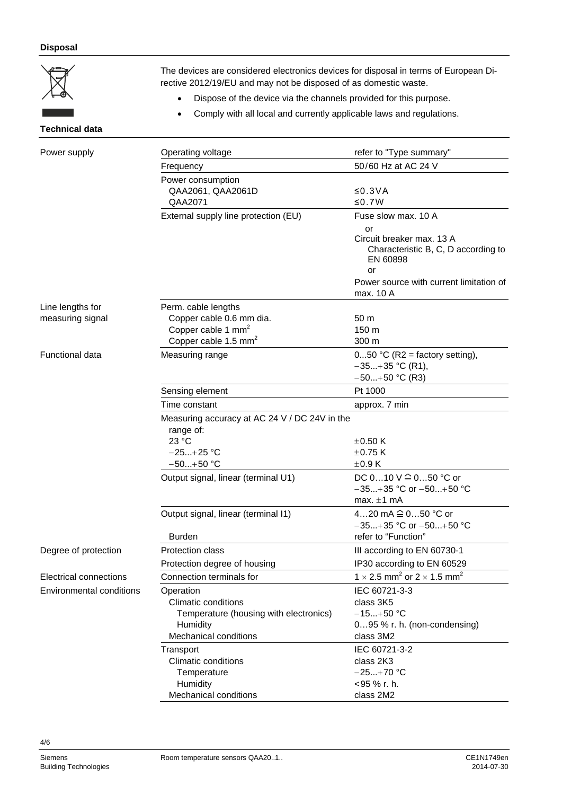# **Disposal**



The devices are considered electronics devices for disposal in terms of European Directive 2012/19/EU and may not be disposed of as domestic waste.

- Dispose of the device via the channels provided for this purpose.
- Comply with all local and currently applicable laws and regulations.

# **Technical data**

| Power supply                    | Operating voltage                                                                              | refer to "Type summary"                                                            |
|---------------------------------|------------------------------------------------------------------------------------------------|------------------------------------------------------------------------------------|
|                                 | Frequency                                                                                      | 50/60 Hz at AC 24 V                                                                |
|                                 | Power consumption                                                                              |                                                                                    |
|                                 | QAA2061, QAA2061D                                                                              | ≤ $0.3VA$                                                                          |
|                                 | QAA2071                                                                                        | ≤0.7W                                                                              |
|                                 | External supply line protection (EU)                                                           | Fuse slow max, 10 A                                                                |
|                                 |                                                                                                | or<br>Circuit breaker max, 13 A<br>Characteristic B, C, D according to<br>EN 60898 |
|                                 |                                                                                                | or<br>Power source with current limitation of<br>max. 10 A                         |
| Line lengths for                | Perm. cable lengths                                                                            |                                                                                    |
| measuring signal                | Copper cable 0.6 mm dia.<br>Copper cable 1 mm <sup>2</sup><br>Copper cable 1.5 mm <sup>2</sup> | 50 <sub>m</sub><br>150 m<br>300 m                                                  |
|                                 |                                                                                                |                                                                                    |
| Functional data                 | Measuring range                                                                                | $050$ °C (R2 = factory setting),<br>$-35+35$ °C (R1),<br>$-50+50$ °C (R3)          |
|                                 | Sensing element                                                                                | Pt 1000                                                                            |
|                                 | Time constant                                                                                  | approx. 7 min                                                                      |
|                                 | Measuring accuracy at AC 24 V / DC 24V in the<br>range of:                                     |                                                                                    |
|                                 | 23 °C                                                                                          | $\pm 0.50$ K                                                                       |
|                                 | $-25+25$ °C                                                                                    | $\pm$ 0.75 K                                                                       |
|                                 | $-50+50$ °C                                                                                    | $\pm 0.9$ K                                                                        |
|                                 | Output signal, linear (terminal U1)                                                            | DC 010 V ≙ 050 °C or<br>$-35+35$ °C or $-50+50$ °C<br>max. $\pm 1$ mA              |
|                                 | Output signal, linear (terminal I1)                                                            | 420 mA <sup><math>\hat{=}</math></sup> 050 °C or<br>$-35+35$ °C or $-50+50$ °C     |
|                                 | <b>Burden</b>                                                                                  | refer to "Function"                                                                |
| Degree of protection            | Protection class                                                                               | III according to EN 60730-1                                                        |
|                                 | Protection degree of housing                                                                   | IP30 according to EN 60529                                                         |
| <b>Electrical connections</b>   | Connection terminals for                                                                       | 1 $\times$ 2.5 mm <sup>2</sup> or 2 $\times$ 1.5 mm <sup>2</sup>                   |
| <b>Environmental conditions</b> | Operation                                                                                      | IEC 60721-3-3                                                                      |
|                                 | <b>Climatic conditions</b>                                                                     | class 3K5                                                                          |
|                                 | Temperature (housing with electronics)                                                         | $-15+50$ °C                                                                        |
|                                 | Humidity                                                                                       | 095 % r. h. (non-condensing)                                                       |
|                                 | <b>Mechanical conditions</b>                                                                   | class 3M2                                                                          |
|                                 | Transport                                                                                      | IEC 60721-3-2                                                                      |
|                                 | <b>Climatic conditions</b>                                                                     | class 2K3                                                                          |
|                                 | Temperature                                                                                    | $-25+70$ °C                                                                        |
|                                 | Humidity                                                                                       | <95 % r. h.                                                                        |
|                                 | Mechanical conditions                                                                          | class 2M2                                                                          |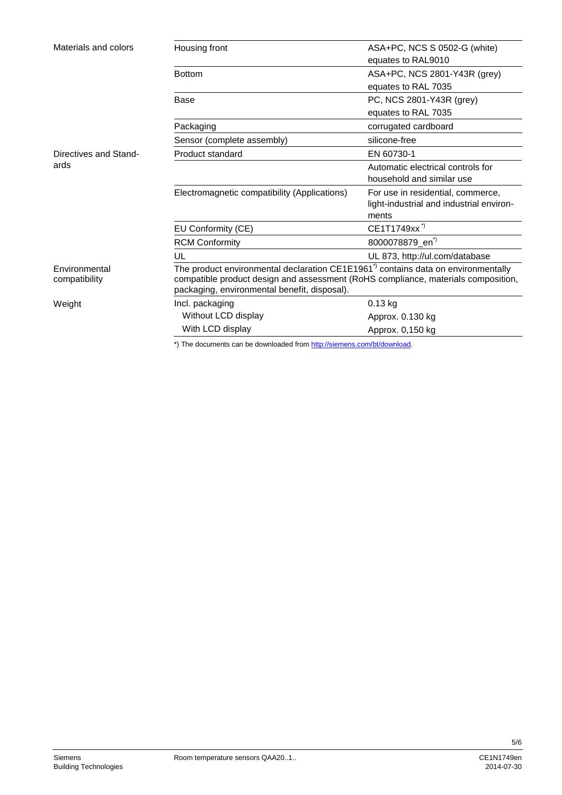| Materials and colors           | Housing front                                                                                                                                                                                                                   | ASA+PC, NCS S 0502-G (white)                      |
|--------------------------------|---------------------------------------------------------------------------------------------------------------------------------------------------------------------------------------------------------------------------------|---------------------------------------------------|
|                                |                                                                                                                                                                                                                                 | equates to RAL9010                                |
|                                | <b>Bottom</b>                                                                                                                                                                                                                   | ASA+PC, NCS 2801-Y43R (grey)                      |
|                                |                                                                                                                                                                                                                                 | equates to RAL 7035                               |
|                                | Base                                                                                                                                                                                                                            | PC, NCS 2801-Y43R (grey)                          |
|                                |                                                                                                                                                                                                                                 | equates to RAL 7035                               |
|                                | Packaging                                                                                                                                                                                                                       | corrugated cardboard                              |
|                                | Sensor (complete assembly)                                                                                                                                                                                                      | silicone-free                                     |
| Directives and Stand-          | Product standard                                                                                                                                                                                                                | EN 60730-1                                        |
| ards                           |                                                                                                                                                                                                                                 | Automatic electrical controls for                 |
|                                |                                                                                                                                                                                                                                 | household and similar use                         |
|                                | Electromagnetic compatibility (Applications)                                                                                                                                                                                    | For use in residential, commerce,                 |
|                                |                                                                                                                                                                                                                                 | light-industrial and industrial environ-<br>ments |
|                                | EU Conformity (CE)                                                                                                                                                                                                              | CE1T1749xx <sup>*</sup>                           |
|                                | <b>RCM Conformity</b>                                                                                                                                                                                                           | 8000078879_en <sup>*)</sup>                       |
|                                | UL                                                                                                                                                                                                                              | UL 873, http://ul.com/database                    |
| Environmental<br>compatibility | The product environmental declaration $CE1E1961^{\prime}$ contains data on environmentally<br>compatible product design and assessment (RoHS compliance, materials composition,<br>packaging, environmental benefit, disposal). |                                                   |
| Weight                         | Incl. packaging                                                                                                                                                                                                                 | $0.13$ kg                                         |
|                                | Without LCD display                                                                                                                                                                                                             | Approx. 0.130 kg                                  |
|                                | With LCD display                                                                                                                                                                                                                | Approx. 0,150 kg                                  |
|                                |                                                                                                                                                                                                                                 |                                                   |

\*) The documents can be downloaded from [http://siemens.com/bt/download.](http://siemens.com/bt/download)